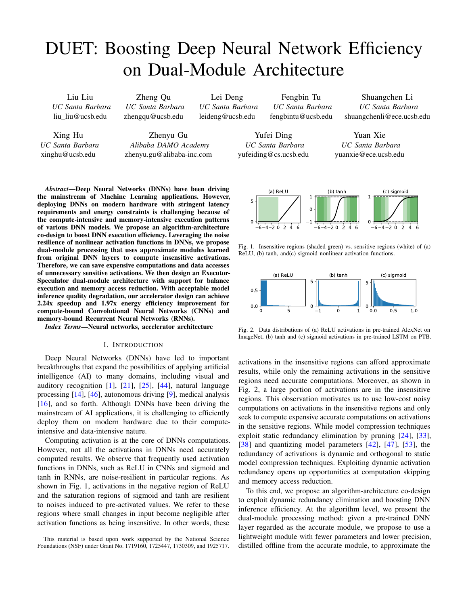# DUET: Boosting Deep Neural Network Efficiency on Dual-Module Architecture

Liu Liu *UC Santa Barbara* liu liu@ucsb.edu

Xing Hu *UC Santa Barbara* xinghu@ucsb.edu

Zheng Qu *UC Santa Barbara* zhengqu@ucsb.edu

Zhenyu Gu *Alibaba DAMO Academy*

zhenyu.gu@alibaba-inc.com

Lei Deng *UC Santa Barbara* leideng@ucsb.edu

Fengbin Tu *UC Santa Barbara* fengbintu@ucsb.edu

Yufei Ding *UC Santa Barbara* yufeiding@cs.ucsb.edu

Shuangchen Li *UC Santa Barbara* shuangchenli@ece.ucsb.edu

Yuan Xie *UC Santa Barbara* yuanxie@ece.ucsb.edu

*Abstract*—Deep Neural Networks (DNNs) have been driving the mainstream of Machine Learning applications. However, deploying DNNs on modern hardware with stringent latency requirements and energy constraints is challenging because of the compute-intensive and memory-intensive execution patterns of various DNN models. We propose an algorithm-architecture co-design to boost DNN execution efficiency. Leveraging the noise resilience of nonlinear activation functions in DNNs, we propose dual-module processing that uses approximate modules learned from original DNN layers to compute insensitive activations. Therefore, we can save expensive computations and data accesses of unnecessary sensitive activations. We then design an Executor-Speculator dual-module architecture with support for balance execution and memory access reduction. With acceptable model inference quality degradation, our accelerator design can achieve 2.24x speedup and 1.97x energy efficiency improvement for compute-bound Convolutional Neural Networks (CNNs) and memory-bound Recurrent Neural Networks (RNNs).

*Index Terms*—Neural networks, accelerator architecture

## I. INTRODUCTION

Deep Neural Networks (DNNs) have led to important breakthroughs that expand the possibilities of applying artificial intelligence (AI) to many domains, including visual and auditory recognition [\[1\]](#page-11-0), [\[21\]](#page-12-0), [\[25\]](#page-12-1), [\[44\]](#page-12-2), natural language processing [\[14\]](#page-11-1), [\[46\]](#page-12-3), autonomous driving [\[9\]](#page-11-2), medical analysis [\[16\]](#page-11-3), and so forth. Although DNNs have been driving the mainstream of AI applications, it is challenging to efficiently deploy them on modern hardware due to their computeintensive and data-intensive nature.

Computing activation is at the core of DNNs computations. However, not all the activations in DNNs need accurately computed results. We observe that frequently used activation functions in DNNs, such as ReLU in CNNs and sigmoid and tanh in RNNs, are noise-resilient in particular regions. As shown in Fig. [1,](#page-0-0) activations in the negative region of ReLU and the saturation regions of sigmoid and tanh are resilient to noises induced to pre-activated values. We refer to these regions where small changes in input become negligible after activation functions as being insensitive. In other words, these

This material is based upon work supported by the National Science Foundations (NSF) under Grant No. 1719160, 1725447, 1730309, and 1925717.



<span id="page-0-0"></span>Fig. 1. Insensitive regions (shaded green) vs. sensitive regions (white) of (a) ReLU, (b) tanh, and(c) sigmoid nonlinear activation functions.



<span id="page-0-1"></span>Fig. 2. Data distributions of (a) ReLU activations in pre-trained AlexNet on ImageNet, (b) tanh and (c) sigmoid activations in pre-trained LSTM on PTB.

activations in the insensitive regions can afford approximate results, while only the remaining activations in the sensitive regions need accurate computations. Moreover, as shown in Fig. [2,](#page-0-1) a large portion of activations are in the insensitive regions. This observation motivates us to use low-cost noisy computations on activations in the insensitive regions and only seek to compute expensive accurate computations on activations in the sensitive regions. While model compression techniques exploit static redundancy elimination by pruning [\[24\]](#page-12-4), [\[33\]](#page-12-5), [\[38\]](#page-12-6) and quantizing model parameters [\[42\]](#page-12-7), [\[47\]](#page-12-8), [\[53\]](#page-12-9), the redundancy of activations is dynamic and orthogonal to static model compression techniques. Exploiting dynamic activation redundancy opens up opportunities at computation skipping and memory access reduction.

To this end, we propose an algorithm-architecture co-design to exploit dynamic redundancy elimination and boosting DNN inference efficiency. At the algorithm level, we present the dual-module processing method: given a pre-trained DNN layer regarded as the accurate module, we propose to use a lightweight module with fewer parameters and lower precision, distilled offline from the accurate module, to approximate the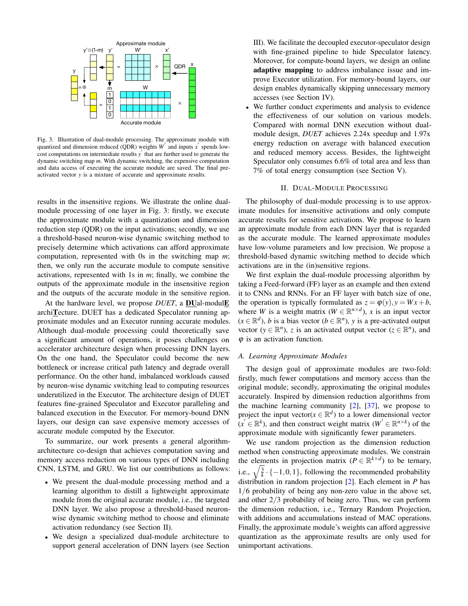

<span id="page-1-0"></span>Fig. 3. Illustration of dual-module processing. The approximate module with quantized and dimension reduced (QDR) weights  $W'$  and inputs  $x'$  spends low- $\frac{1}{\cosh \theta}$  cost computations on intermediate results  $y'$  that are further used to generate the dynamic switching map *m*. With dynamic switching, the expensive computation and data access of executing the accurate module are saved. The final preactivated vector *y* is a mixture of accurate and approximate results.

results in the insensitive regions. We illustrate the online dualmodule processing of one layer in Fig. [3:](#page-1-0) firstly, we execute the approximate module with a quantization and dimension reduction step (QDR) on the input activations; secondly, we use a threshold-based neuron-wise dynamic switching method to precisely determine which activations can afford approximate computation, represented with 0s in the switching map *m*; then, we only run the accurate module to compute sensitive activations, represented with 1s in *m*; finally, we combine the outputs of the approximate module in the insensitive region and the outputs of the accurate module in the sensitive region.

At the hardware level, we propose *DUET*, a **DU**al-modul**E** archiTecture. DUET has a dedicated Speculator running approximate modules and an Executor running accurate modules. Although dual-module processing could theoretically save a significant amount of operations, it poses challenges on accelerator architecture design when processing DNN layers. On the one hand, the Speculator could become the new bottleneck or increase critical path latency and degrade overall performance. On the other hand, imbalanced workloads caused by neuron-wise dynamic switching lead to computing resources underutilized in the Executor. The architecture design of DUET features fine-grained Speculator and Executor paralleling and balanced execution in the Executor. For memory-bound DNN layers, our design can save expensive memory accesses of accurate module computed by the Executor.

To summarize, our work presents a general algorithmarchitecture co-design that achieves computation saving and memory access reduction on various types of DNN including CNN, LSTM, and GRU. We list our contributions as follows:

- We present the dual-module processing method and a learning algorithm to distill a lightweight approximate module from the original accurate module, i.e., the targeted DNN layer. We also propose a threshold-based neuronwise dynamic switching method to choose and eliminate activation redundancy (see Section [II\)](#page-1-1).
- We design a specialized dual-module architecture to support general acceleration of DNN layers (see Section

[III\)](#page-2-0). We facilitate the decoupled executor-speculator design with fine-grained pipeline to hide Speculator latency. Moreover, for compute-bound layers, we design an online adaptive mapping to address imbalance issue and improve Executor utilization. For memory-bound layers, our design enables dynamically skipping unnecessary memory accesses (see Section [IV\)](#page-5-0).

We further conduct experiments and analysis to evidence the effectiveness of our solution on various models. Compared with normal DNN execution without dualmodule design, *DUET* achieves 2.24x speedup and 1.97x energy reduction on average with balanced execution and reduced memory access. Besides, the lightweight Speculator only consumes 6.6% of total area and less than 7% of total energy consumption (see Section [V\)](#page-7-0).

#### II. DUAL-MODULE PROCESSING

<span id="page-1-1"></span>The philosophy of dual-module processing is to use approximate modules for insensitive activations and only compute accurate results for sensitive activations. We propose to learn an approximate module from each DNN layer that is regarded as the accurate module. The learned approximate modules have low-volume parameters and low precision. We propose a threshold-based dynamic switching method to decide which activations are in the (in)sensitive regions.

We first explain the dual-module processing algorithm by taking a Feed-forward (FF) layer as an example and then extend it to CNNs and RNNs. For an FF layer with batch size of one, the operation is typically formulated as  $z = \varphi(y)$ ,  $y = Wx + b$ , where *W* is a weight matrix ( $W \in \mathbb{R}^{n \times d}$ ), *x* is an input vector  $(x \in \mathbb{R}^d)$ , *b* is a bias vector ( $b \in \mathbb{R}^n$ ), *y* is a pre-activated output vector ( $y \in \mathbb{R}^n$ ), *z* is an activated output vector ( $z \in \mathbb{R}^n$ ), and  $\varphi$  is an activation function.

## *A. Learning Approximate Modules*

The design goal of approximate modules are two-fold: firstly, much fewer computations and memory access than the original module; secondly, approximating the original modules accurately. Inspired by dimension reduction algorithms from the machine learning community  $[2]$ ,  $[37]$ , we propose to project the input vector( $x \in \mathbb{R}^d$ ) to a lower dimensional vector  $(x' \in \mathbb{R}^k)$ , and then construct weight matrix  $(W' \in \mathbb{R}^{n \times k})$  of the approximate module with significantly fewer parameters.

We use random projection as the dimension reduction method when constructing approximate modules. We constrain the elements in projection matrix ( $P \in \mathbb{R}^{k \times d}$ ) to be ternary, i.e.,  $\sqrt{\frac{3}{k}} \cdot \{-1,0,1\}$ , following the recommended probability distribution in random projection [\[2\]](#page-11-4). Each element in *P* has 1/6 probability of being any non-zero value in the above set, and other 2/3 probability of being zero. Thus, we can perform the dimension reduction, i.e., Ternary Random Projection, with additions and accumulations instead of MAC operations. Finally, the approximate module's weights can afford aggressive quantization as the approximate results are only used for unimportant activations.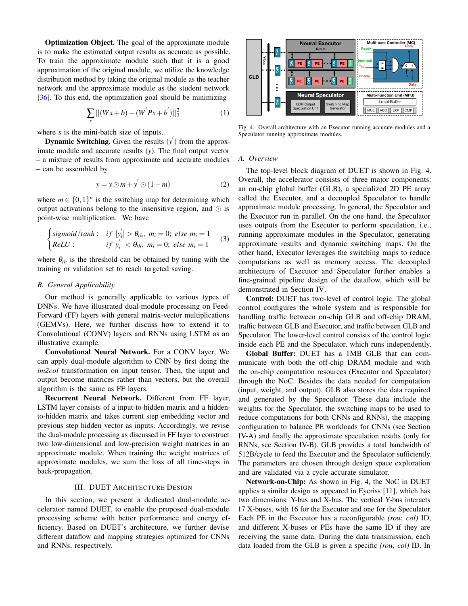Optimization Object. The goal of the approximate module is to make the estimated output results as accurate as possible. To train the approximate module such that it is a good approximation of the original module, we utilize the knowledge distribution method by taking the original module as the teacher network and the approximate module as the student network [\[36\]](#page-12-11). To this end, the optimization goal should be minimizing

$$
\sum_{s}||(Wx+b)-(W'Px+b')||_2^2
$$
 (1)

where *s* is the mini-batch size of inputs.

**Dynamic Switching.** Given the results  $(y')$  from the approximate module and accurate results (*y*). The final output vector – a mixture of results from approximate and accurate modules – can be assembled by

<span id="page-2-2"></span>
$$
y = y \odot m + y' \odot (1 - m) \tag{2}
$$

where  $m \in \{0, 1\}^n$  is the switching map for determining which output activations belong to the insensitive region, and  $\odot$  is point-wise multiplication. We have

$$
\begin{cases}\n\text{sigmoid}/\text{tanh}: & \text{if } |y'_i| > \theta_{th}, m_i = 0; \text{ else } m_i = 1 \\
\text{ReLU}: & \text{if } y'_i < \theta_{th}, m_i = 0; \text{ else } m_i = 1\n\end{cases}\n\tag{3}
$$

where  $\theta_{th}$  is the threshold can be obtained by tuning with the training or validation set to reach targeted saving.

# *B. General Applicability*

Our method is generally applicable to various types of DNNs. We have illustrated dual-module processing on Feed-Forward (FF) layers with general matrix-vector multiplications (GEMVs). Here, we further discuss how to extend it to Convolutional (CONV) layers and RNNs using LSTM as an illustrative example.

Convolutional Neural Network. For a CONV layer, We can apply dual-module algorithm to CNN by first doing the *im2col* transformation on input tensor. Then, the input and output become matrices rather than vectors, but the overall algorithm is the same as FF layers.

Recurrent Neural Network. Different from FF layer, LSTM layer consists of a input-to-hidden matrix and a hiddento-hidden matrix and takes current step embedding vector and previous step hidden vector as inputs. Accordingly, we revise the dual-module processing as discussed in FF layer to construct two low-dimensional and low-precision weight matrices in an approximate module. When training the weight matrices of approximate modules, we sum the loss of all time-steps in back-propagation. is to make the estimated output results as a<br>considerable of the comparison of the conjunctural only the sphere of the<br>distribution of the conjunctural conducts, we will<br>describe the expectively. To this end, the optimiza

## III. DUET ARCHITECTURE DESIGN

<span id="page-2-0"></span>In this section, we present a dedicated dual-module accelerator named DUET, to enable the proposed dual-module processing scheme with better performance and energy efficiency. Based on DUET's architecture, we further devise different dataflow and mapping strategies optimized for CNNs



<span id="page-2-1"></span>Fig. 4. Overall architecture with an Executor running accurate modules and a Speculator running approximate modules.

## *A. Overview*

The top-level block diagram of DUET is shown in Fig. [4.](#page-2-1) Overall, the accelerator consists of three major components: an on-chip global buffer (GLB), a specialized 2D PE array called the Executor, and a decoupled Speculator to handle approximate module processing. In general, the Speculator and the Executor run in parallel. On the one hand, the Speculator uses outputs from the Executor to perform speculation, i.e., running approximate modules in the Speculator, generating approximate results and dynamic switching maps. On the other hand, Executor leverages the switching maps to reduce computations as well as memory access. The decoupled architecture of Executor and Speculator further enables a fine-grained pipeline design of the dataflow, which will be demonstrated in Section [IV.](#page-5-0)

Control: DUET has two-level of control logic. The global control configures the whole system and is responsible for handling traffic between on-chip GLB and off-chip DRAM, traffic between GLB and Executor, and traffic between GLB and Speculator. The lower-level control consists of the control logic inside each PE and the Speculator, which runs independently.

Global Buffer: DUET has a 1MB GLB that can communicate with both the off-chip DRAM module and with the on-chip computation resources (Executor and Speculator) through the NoC. Besides the data needed for computation (input, weight, and output), GLB also stores the data required and generated by the Speculator. These data include the weights for the Speculator, the switching maps to be used to reduce computations for both CNNs and RNNs), the mapping configuration to balance PE workloads for CNNs (see Section [IV-A\)](#page-5-1) and finally the approximate speculation results (only for RNNs, see Section [IV-B\)](#page-7-1). GLB provides a total bandwidth of 512B/cycle to feed the Executor and the Speculator sufficiently. The parameters are chosen through design space exploration and are validated via a cycle-accurate simulator.

Network-on-Chip: As shown in Fig. [4,](#page-2-1) the NoC in DUET applies a similar design as appeared in Eyeriss [\[11\]](#page-11-5), which has two dimensions: Y-bus and X-bus. The vertical Y-bus interacts 17 X-buses, with 16 for the Executor and one for the Speculator. Each PE in the Executor has a reconfigurable *(row, col)* ID, and different X-buses or PEs have the same ID if they are receiving the same data. During the data transmission, each data loaded from the GLB is given a specific *(row, col)* ID. In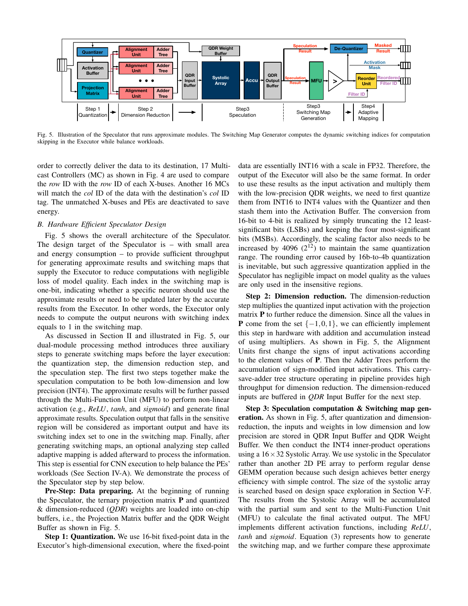

<span id="page-3-0"></span>Fig. 5. Illustration of the Speculator that runs approximate modules. The Switching Map Generator computes the dynamic switching indices for computation skipping in the Executor while balance workloads.

order to correctly deliver the data to its destination, 17 Multicast Controllers (MC) as shown in Fig. [4](#page-2-1) are used to compare the *row* ID with the *row* ID of each X-buses. Another 16 MCs will match the *col* ID of the data with the destination's *col* ID tag. The unmatched X-buses and PEs are deactivated to save energy.

# *B. Hardware Efficient Speculator Design*

Fig. [5](#page-3-0) shows the overall architecture of the Speculator. The design target of the Speculator is – with small area and energy consumption – to provide sufficient throughput for generating approximate results and switching maps that supply the Executor to reduce computations with negligible loss of model quality. Each index in the switching map is one-bit, indicating whether a specific neuron should use the approximate results or need to be updated later by the accurate results from the Executor. In other words, the Executor only needs to compute the output neurons with switching index equals to 1 in the switching map.

As discussed in Section [II](#page-1-1) and illustrated in Fig. [5,](#page-3-0) our dual-module processing method introduces three auxiliary steps to generate switching maps before the layer execution: the quantization step, the dimension reduction step, and the speculation step. The first two steps together make the speculation computation to be both low-dimension and low precision (INT4). The approximate results will be further passed through the Multi-Function Unit (MFU) to perform non-linear activation (e.g., *ReLU*, *tanh*, and *sigmoid*) and generate final approximate results. Speculation output that falls in the sensitive region will be considered as important output and have its switching index set to one in the switching map. Finally, after generating switching maps, an optional analyzing step called adaptive mapping is added afterward to process the information. This step is essential for CNN execution to help balance the PEs' workloads (See Section [IV-A\)](#page-5-1). We demonstrate the process of the Speculator step by step below.

Pre-Step: Data preparing. At the beginning of running the Speculator, the ternary projection matrix  $P$  and quantized & dimension-reduced (*QDR*) weights are loaded into on-chip buffers, i.e., the Projection Matrix buffer and the QDR Weight Buffer as shown in Fig. [5.](#page-3-0)

Step 1: Quantization. We use 16-bit fixed-point data in the Executor's high-dimensional execution, where the fixed-point data are essentially INT16 with a scale in FP32. Therefore, the output of the Executor will also be the same format. In order to use these results as the input activation and multiply them with the low-precision QDR weights, we need to first quantize them from INT16 to INT4 values with the Quantizer and then stash them into the Activation Buffer. The conversion from 16-bit to 4-bit is realized by simply truncating the 12 leastsignificant bits (LSBs) and keeping the four most-significant bits (MSBs). Accordingly, the scaling factor also needs to be increased by 4096  $(2^{12})$  to maintain the same quantization range. The rounding error caused by 16b-to-4b quantization is inevitable, but such aggressive quantization applied in the Speculator has negligible impact on model quality as the values are only used in the insensitive regions.

Step 2: Dimension reduction. The dimension-reduction step multiplies the quantized input activation with the projection matrix P to further reduce the dimension. Since all the values in **P** come from the set  $\{-1,0,1\}$ , we can efficiently implement this step in hardware with addition and accumulation instead of using multipliers. As shown in Fig. [5,](#page-3-0) the Alignment Units first change the signs of input activations according to the element values of P. Then the Adder Trees perform the accumulation of sign-modified input activations. This carrysave-adder tree structure operating in pipeline provides high throughput for dimension reduction. The dimension-reduced inputs are buffered in *QDR* Input Buffer for the next step.

Step 3: Speculation computation & Switching map generation. As shown in Fig. [5,](#page-3-0) after quantization and dimensionreduction, the inputs and weights in low dimension and low precision are stored in QDR Input Buffer and QDR Weight Buffer. We then conduct the INT4 inner-product operations using a  $16 \times 32$  Systolic Array. We use systolic in the Speculator rather than another 2D PE array to perform regular dense GEMM operation because such design achieves better energy efficiency with simple control. The size of the systolic array is searched based on design space exploration in Section [V-F.](#page-10-0) The results from the Systolic Array will be accumulated with the partial sum and sent to the Multi-Function Unit (MFU) to calculate the final activated output. The MFU implements different activation functions, including *ReLU*, *tanh* and *sigmoid*. Equation [\(3\)](#page-2-2) represents how to generate the switching map, and we further compare these approximate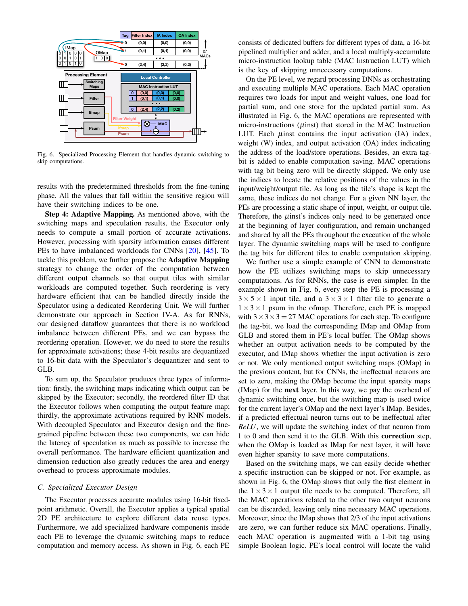

<span id="page-4-0"></span>Fig. 6. Specialized Processing Element that handles dynamic switching to skip computations.

results with the predetermined thresholds from the fine-tuning phase. All the values that fall within the sensitive region will have their switching indices to be one.

Step 4: Adaptive Mapping. As mentioned above, with the switching maps and speculation results, the Executor only needs to compute a small portion of accurate activations. However, processing with sparsity information causes different PEs to have imbalanced workloads for CNNs [\[20\]](#page-11-6), [\[45\]](#page-12-12). To tackle this problem, we further propose the Adaptive Mapping strategy to change the order of the computation between different output channels so that output tiles with similar workloads are computed together. Such reordering is very hardware efficient that can be handled directly inside the Speculator using a dedicated Reordering Unit. We will further demonstrate our approach in Section [IV-A.](#page-5-1) As for RNNs, our designed dataflow guarantees that there is no workload imbalance between different PEs, and we can bypass the reordering operation. However, we do need to store the results for approximate activations; these 4-bit results are dequantized to 16-bit data with the Speculator's dequantizer and sent to GLB.

To sum up, the Speculator produces three types of information: firstly, the switching maps indicating which output can be skipped by the Executor; secondly, the reordered filter ID that the Executor follows when computing the output feature map; thirdly, the approximate activations required by RNN models. With decoupled Speculator and Executor design and the finegrained pipeline between these two components, we can hide the latency of speculation as much as possible to increase the overall performance. The hardware efficient quantization and dimension reduction also greatly reduces the area and energy overhead to process approximate modules.

## *C. Specialized Executor Design*

The Executor processes accurate modules using 16-bit fixedpoint arithmetic. Overall, the Executor applies a typical spatial 2D PE architecture to explore different data reuse types. Furthermore, we add specialized hardware components inside each PE to leverage the dynamic switching maps to reduce computation and memory access. As shown in Fig. [6,](#page-4-0) each PE

consists of dedicated buffers for different types of data, a 16-bit pipelined multiplier and adder, and a local multiply-accumulate micro-instruction lookup table (MAC Instruction LUT) which is the key of skipping unnecessary computations.

On the PE level, we regard processing DNNs as orchestrating and executing multiple MAC operations. Each MAC operation requires two loads for input and weight values, one load for partial sum, and one store for the updated partial sum. As illustrated in Fig. [6,](#page-4-0) the MAC operations are represented with micro-instructions  $(\mu$ inst) that stored in the MAC Instruction LUT. Each  $\mu$  inst contains the input activation (IA) index, weight (W) index, and output activation (OA) index indicating the address of the load/store operations. Besides, an extra tagbit is added to enable computation saving. MAC operations with tag bit being zero will be directly skipped. We only use the indices to locate the relative positions of the values in the input/weight/output tile. As long as the tile's shape is kept the same, these indices do not change. For a given NN layer, the PEs are processing a static shape of input, weight, or output tile. Therefore, the  $\mu$ inst's indices only need to be generated once at the beginning of layer configuration, and remain unchanged and shared by all the PEs throughout the execution of the whole layer. The dynamic switching maps will be used to configure the tag bits for different tiles to enable computation skipping.

We further use a simple example of CNN to demonstrate how the PE utilizes switching maps to skip unnecessary computations. As for RNNs, the case is even simpler. In the example shown in Fig. [6,](#page-4-0) every step the PE is processing a  $3 \times 5 \times 1$  input tile, and a  $3 \times 3 \times 1$  filter tile to generate a  $1 \times 3 \times 1$  psum in the ofmap. Therefore, each PE is mapped with  $3 \times 3 \times 3 = 27$  MAC operations for each step. To configure the tag-bit, we load the corresponding IMap and OMap from GLB and stored them in PE's local buffer. The OMap shows whether an output activation needs to be computed by the executor, and IMap shows whether the input activation is zero or not. We only mentioned output switching maps (OMap) in the previous content, but for CNNs, the ineffectual neurons are set to zero, making the OMap become the input sparsity maps (IMap) for the next layer. In this way, we pay the overhead of dynamic switching once, but the switching map is used twice for the current layer's OMap and the next layer's IMap. Besides, if a predicted effectual neuron turns out to be ineffectual after *ReLU*, we will update the switching index of that neuron from 1 to 0 and then send it to the GLB. With this correction step, when the OMap is loaded as IMap for next layer, it will have even higher sparsity to save more computations.

Based on the switching maps, we can easily decide whether a specific instruction can be skipped or not. For example, as shown in Fig. [6,](#page-4-0) the OMap shows that only the first element in the  $1 \times 3 \times 1$  output tile needs to be computed. Therefore, all the MAC operations related to the other two output neurons can be discarded, leaving only nine necessary MAC operations. Moreover, since the IMap shows that 2/3 of the input activations are zero, we can further reduce six MAC operations. Finally, each MAC operation is augmented with a 1-bit tag using simple Boolean logic. PE's local control will locate the valid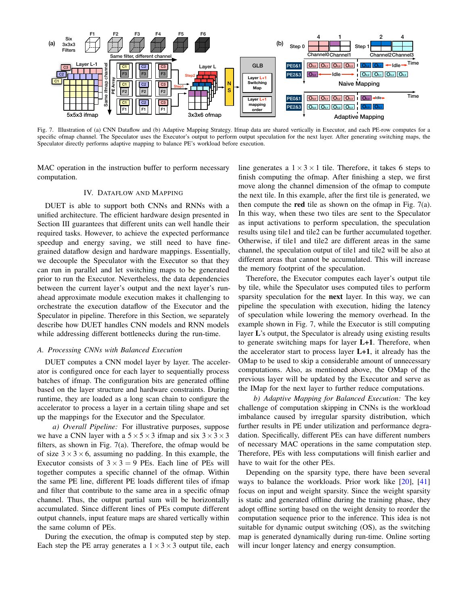

<span id="page-5-2"></span>Fig. 7. Illustration of (a) CNN Dataflow and (b) Adaptive Mapping Strategy. Ifmap data are shared vertically in Executor, and each PE-row computes for a specific ofmap channel. The Speculator uses the Executor's output to perform output speculation for the next layer. After generating switching maps, the Speculator directly performs adaptive mapping to balance PE's workload before execution.

MAC operation in the instruction buffer to perform necessary computation.

## IV. DATAFLOW AND MAPPING

<span id="page-5-0"></span>DUET is able to support both CNNs and RNNs with a unified architecture. The efficient hardware design presented in Section [III](#page-2-0) guarantees that different units can well handle their required tasks. However, to achieve the expected performance speedup and energy saving, we still need to have finegrained dataflow design and hardware mappings. Essentially, we decouple the Speculator with the Executor so that they can run in parallel and let switching maps to be generated prior to run the Executor. Nevertheless, the data dependencies between the current layer's output and the next layer's runahead approximate module execution makes it challenging to orchestrate the execution dataflow of the Executor and the Speculator in pipeline. Therefore in this Section, we separately describe how DUET handles CNN models and RNN models while addressing different bottlenecks during the run-time.

#### <span id="page-5-1"></span>*A. Processing CNNs with Balanced Execution*

DUET computes a CNN model layer by layer. The accelerator is configured once for each layer to sequentially process batches of ifmap. The configuration bits are generated offline based on the layer structure and hardware constraints. During runtime, they are loaded as a long scan chain to configure the accelerator to process a layer in a certain tiling shape and set up the mappings for the Executor and the Speculator.

*a) Overall Pipeline:* For illustrative purposes, suppose we have a CNN layer with a  $5 \times 5 \times 3$  ifmap and six  $3 \times 3 \times 3$ filters, as shown in Fig. [7\(](#page-5-2)a). Therefore, the ofmap would be of size  $3 \times 3 \times 6$ , assuming no padding. In this example, the Executor consists of  $3 \times 3 = 9$  PEs. Each line of PEs will together computes a specific channel of the ofmap. Within the same PE line, different PE loads different tiles of ifmap and filter that contribute to the same area in a specific ofmap channel. Thus, the output partial sum will be horizontally accumulated. Since different lines of PEs compute different output channels, input feature maps are shared vertically within the same column of PEs.

During the execution, the ofmap is computed step by step. Each step the PE array generates a  $1 \times 3 \times 3$  output tile, each

line generates a  $1 \times 3 \times 1$  tile. Therefore, it takes 6 steps to finish computing the ofmap. After finishing a step, we first move along the channel dimension of the ofmap to compute the next tile. In this example, after the first tile is generated, we then compute the red tile as shown on the ofmap in Fig. [7\(](#page-5-2)a). In this way, when these two tiles are sent to the Speculator as input activations to perform speculation, the speculation results using tile1 and tile2 can be further accumulated together. Otherwise, if tile1 and tile2 are different areas in the same channel, the speculation output of tile1 and tile2 will be also at different areas that cannot be accumulated. This will increase the memory footprint of the speculation.

Therefore, the Executor computes each layer's output tile by tile, while the Speculator uses computed tiles to perform sparsity speculation for the next layer. In this way, we can pipeline the speculation with execution, hiding the latency of speculation while lowering the memory overhead. In the example shown in Fig. [7,](#page-5-2) while the Executor is still computing layer L's output, the Speculator is already using existing results to generate switching maps for layer L+1. Therefore, when the accelerator start to process layer L+1, it already has the OMap to be used to skip a considerable amount of unnecessary computations. Also, as mentioned above, the OMap of the previous layer will be updated by the Executor and serve as the IMap for the next layer to further reduce computations.

*b) Adaptive Mapping for Balanced Execution:* The key challenge of computation skipping in CNNs is the workload imbalance caused by irregular sparsity distribution, which further results in PE under utilization and performance degradation. Specifically, different PEs can have different numbers of necessary MAC operations in the same computation step. Therefore, PEs with less computations will finish earlier and have to wait for the other PEs.

Depending on the sparsity type, there have been several ways to balance the workloads. Prior work like [\[20\]](#page-11-6), [\[41\]](#page-12-13) focus on input and weight sparsity. Since the weight sparsity is static and generated offline during the training phase, they adopt offline sorting based on the weight density to reorder the computation sequence prior to the inference. This idea is not suitable for dynamic output switching (OS), as the switching map is generated dynamically during run-time. Online sorting will incur longer latency and energy consumption.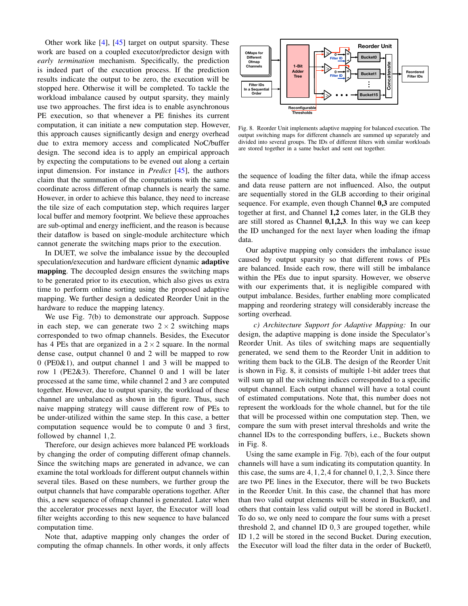Other work like [\[4\]](#page-11-7), [\[45\]](#page-12-12) target on output sparsity. These work are based on a coupled executor/predictor design with *early termination* mechanism. Specifically, the prediction is indeed part of the execution process. If the prediction results indicate the output to be zero, the execution will be stopped here. Otherwise it will be completed. To tackle the workload imbalance caused by output sparsity, they mainly use two approaches. The first idea is to enable asynchronous PE execution, so that whenever a PE finishes its current computation, it can initiate a new computation step. However, this approach causes significantly design and energy overhead due to extra memory access and complicated NoC/buffer design. The second idea is to apply an empirical approach by expecting the computations to be evened out along a certain input dimension. For instance in *Predict* [\[45\]](#page-12-12), the authors claim that the summation of the computations with the same coordinate across different ofmap channels is nearly the same. However, in order to achieve this balance, they need to increase the tile size of each computation step, which requires larger local buffer and memory footprint. We believe these approaches are sub-optimal and energy inefficient, and the reason is because their dataflow is based on single-module architecture which cannot generate the switching maps prior to the execution.

In DUET, we solve the imbalance issue by the decoupled speculation/execution and hardware efficient dynamic **adaptive** mapping. The decoupled design ensures the switching maps to be generated prior to its execution, which also gives us extra time to perform online sorting using the proposed adaptive mapping. We further design a dedicated Reorder Unit in the hardware to reduce the mapping latency.

We use Fig. [7\(](#page-5-2)b) to demonstrate our approach. Suppose in each step, we can generate two  $2 \times 2$  switching maps corresponded to two ofmap channels. Besides, the Executor has 4 PEs that are organized in a  $2 \times 2$  square. In the normal dense case, output channel 0 and 2 will be mapped to row 0 (PE0&1), and output channel 1 and 3 will be mapped to row 1 (PE2&3). Therefore, Channel 0 and 1 will be later processed at the same time, while channel 2 and 3 are computed together. However, due to output sparsity, the workload of these channel are unbalanced as shown in the figure. Thus, such naive mapping strategy will cause different row of PEs to be under-utilized within the same step. In this case, a better computation sequence would be to compute 0 and 3 first, followed by channel 1,2.

Therefore, our design achieves more balanced PE workloads by changing the order of computing different ofmap channels. Since the switching maps are generated in advance, we can examine the total workloads for different output channels within several tiles. Based on these numbers, we further group the output channels that have comparable operations together. After this, a new sequence of ofmap channel is generated. Later when the accelerator processes next layer, the Executor will load filter weights according to this new sequence to have balanced computation time.

Note that, adaptive mapping only changes the order of computing the ofmap channels. In other words, it only affects



<span id="page-6-0"></span>Fig. 8. Reorder Unit implements adaptive mapping for balanced execution. The output switching maps for different channels are summed up separately and divided into several groups. The IDs of different filters with similar workloads are stored together in a same bucket and sent out together.

the sequence of loading the filter data, while the ifmap access and data reuse pattern are not influenced. Also, the output are sequentially stored in the GLB according to their original sequence. For example, even though Channel 0,3 are computed together at first, and Channel 1,2 comes later, in the GLB they are still stored as Channel 0,1,2,3. In this way we can keep the ID unchanged for the next layer when loading the ifmap data.

Our adaptive mapping only considers the imbalance issue caused by output sparsity so that different rows of PEs are balanced. Inside each row, there will still be imbalance within the PEs due to input sparsity. However, we observe with our experiments that, it is negligible compared with output imbalance. Besides, further enabling more complicated mapping and reordering strategy will considerably increase the sorting overhead.

*c) Architecture Support for Adaptive Mapping:* In our design, the adaptive mapping is done inside the Speculator's Reorder Unit. As tiles of switching maps are sequentially generated, we send them to the Reorder Unit in addition to writing them back to the GLB. The design of the Reorder Unit is shown in Fig. [8,](#page-6-0) it consists of multiple 1-bit adder trees that will sum up all the switching indices corresponded to a specific output channel. Each output channel will have a total count of estimated computations. Note that, this number does not represent the workloads for the whole channel, but for the tile that will be processed within one computation step. Then, we compare the sum with preset interval thresholds and write the channel IDs to the corresponding buffers, i.e., Buckets shown in Fig. [8.](#page-6-0)

Using the same example in Fig. [7\(](#page-5-2)b), each of the four output channels will have a sum indicating its computation quantity. In this case, the sums are  $4, 1, 2, 4$  for channel  $0, 1, 2, 3$ . Since there are two PE lines in the Executor, there will be two Buckets in the Reorder Unit. In this case, the channel that has more than two valid output elements will be stored in Bucket0, and others that contain less valid output will be stored in Bucket1. To do so, we only need to compare the four sums with a preset threshold 2, and channel ID 0,3 are grouped together, while ID 1,2 will be stored in the second Bucket. During execution, the Executor will load the filter data in the order of Bucket0,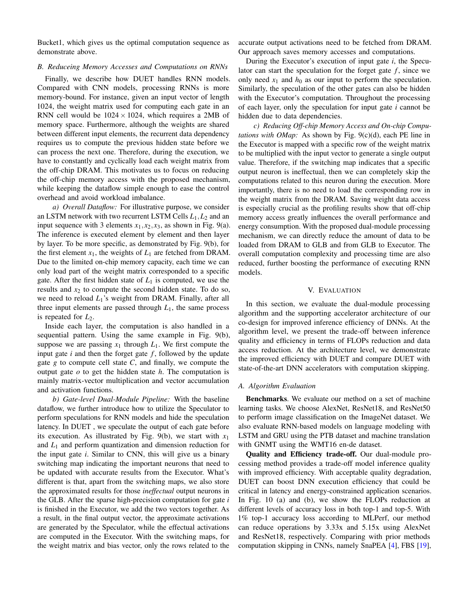Bucket1, which gives us the optimal computation sequence as demonstrate above.

#### <span id="page-7-1"></span>*B. Reduceing Memory Accesses and Computations on RNNs*

Finally, we describe how DUET handles RNN models. Compared with CNN models, processing RNNs is more memory-bound. For instance, given an input vector of length 1024, the weight matrix used for computing each gate in an RNN cell would be  $1024 \times 1024$ , which requires a 2MB of memory space. Furthermore, although the weights are shared between different input elements, the recurrent data dependency requires us to compute the previous hidden state before we can process the next one. Therefore, during the execution, we have to constantly and cyclically load each weight matrix from the off-chip DRAM. This motivates us to focus on reducing the off-chip memory access with the proposed mechanism, while keeping the dataflow simple enough to ease the control overhead and avoid workload imbalance.

*a) Overall Dataflow:* For illustrative purpose, we consider an LSTM network with two recurrent LSTM Cells *L*1,*L*<sup>2</sup> and an input sequence with 3 elements  $x_1, x_2, x_3$ , as shown in Fig. [9\(](#page-8-0)a). The inference is executed element by element and then layer by layer. To be more specific, as demonstrated by Fig. [9\(](#page-8-0)b), for the first element  $x_1$ , the weights of  $L_1$  are fetched from DRAM. Due to the limited on-chip memory capacity, each time we can only load part of the weight matrix corresponded to a specific gate. After the first hidden state of  $L_1$  is computed, we use the results and  $x_2$  to compute the second hidden state. To do so, we need to reload *L*1's weight from DRAM. Finally, after all three input elements are passed through  $L_1$ , the same process is repeated for  $L_2$ .

Inside each layer, the computation is also handled in a sequential pattern. Using the same example in Fig. [9\(](#page-8-0)b), suppose we are passing  $x_1$  through  $L_1$ . We first compute the input gate  $i$  and then the forget gate  $f$ , followed by the update gate *g* to compute cell state *C*, and finally, we compute the output gate *o* to get the hidden state *h*. The computation is mainly matrix-vector multiplication and vector accumulation and activation functions.

*b) Gate-level Dual-Module Pipeline:* With the baseline dataflow, we further introduce how to utilize the Speculator to perform speculations for RNN models and hide the speculation latency. In DUET , we speculate the output of each gate before its execution. As illustrated by Fig. [9\(](#page-8-0)b), we start with  $x_1$ and *L*<sup>1</sup> and perform quantization and dimension reduction for the input gate *i*. Similar to CNN, this will give us a binary switching map indicating the important neurons that need to be updated with accurate results from the Executor. What's different is that, apart from the switching maps, we also store the approximated results for those *ineffectual* output neurons in the GLB. After the sparse high-precision computation for gate *i* is finished in the Executor, we add the two vectors together. As a result, in the final output vector, the approximate activations are generated by the Speculator, while the effectual activations are computed in the Executor. With the switching maps, for the weight matrix and bias vector, only the rows related to the accurate output activations need to be fetched from DRAM. Our approach saves memory accesses and computations.

During the Executor's execution of input gate *i*, the Speculator can start the speculation for the forget gate  $f$ , since we only need  $x_1$  and  $h_0$  as our input to perform the speculation. Similarly, the speculation of the other gates can also be hidden with the Executor's computation. Throughout the processing of each layer, only the speculation for input gate *i* cannot be hidden due to data dependencies.

*c) Reducing Off-chip Memory Access and On-chip Computations with OMap:* As shown by Fig. [9\(](#page-8-0)c)(d), each PE line in the Executor is mapped with a specific row of the weight matrix to be multiplied with the input vector to generate a single output value. Therefore, if the switching map indicates that a specific output neuron is ineffectual, then we can completely skip the computations related to this neuron during the execution. More importantly, there is no need to load the corresponding row in the weight matrix from the DRAM. Saving weight data access is especially crucial as the profiling results show that off-chip memory access greatly influences the overall performance and energy consumption. With the proposed dual-module processing mechanism, we can directly reduce the amount of data to be loaded from DRAM to GLB and from GLB to Executor. The overall computation complexity and processing time are also reduced, further boosting the performance of executing RNN models.

#### V. EVALUATION

<span id="page-7-0"></span>In this section, we evaluate the dual-module processing algorithm and the supporting accelerator architecture of our co-design for improved inference efficiency of DNNs. At the algorithm level, we present the trade-off between inference quality and efficiency in terms of FLOPs reduction and data access reduction. At the architecture level, we demonstrate the improved efficiency with DUET and compare DUET with state-of-the-art DNN accelerators with computation skipping.

## *A. Algorithm Evaluation*

Benchmarks. We evaluate our method on a set of machine learning tasks. We choose AlexNet, ResNet18, and ResNet50 to perform image classification on the ImageNet dataset. We also evaluate RNN-based models on language modeling with LSTM and GRU using the PTB dataset and machine translation with GNMT using the WMT16 en-de dataset.

Quality and Efficiency trade-off. Our dual-module processing method provides a trade-off model inference quality with improved efficiency. With acceptable quality degradation, DUET can boost DNN execution efficiency that could be critical in latency and energy-constrained application scenarios. In Fig. [10](#page-8-1) (a) and (b), we show the FLOPs reduction at different levels of accuracy loss in both top-1 and top-5. With 1% top-1 accuracy loss according to MLPerf, our method can reduce operations by 3.33x and 5.15x using AlexNet and ResNet18, respectively. Comparing with prior methods computation skipping in CNNs, namely SnaPEA [\[4\]](#page-11-7), FBS [\[19\]](#page-11-8),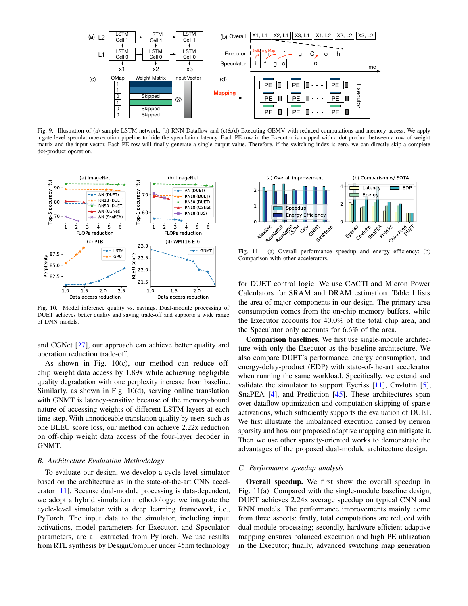

<span id="page-8-0"></span>Fig. 9. Illustration of (a) sample LSTM network, (b) RNN Dataflow and (c)&(d) Executing GEMV with reduced computations and memory access. We apply a gate level speculation/execution pipeline to hide the speculation latency. Each PE-row in the Executor is mapped with a dot product between a row of weight matrix and the input vector. Each PE-row will finally generate a single output value. Therefore, if the switching index is zero, we can directly skip a complete dot-product operation.



<span id="page-8-1"></span>Fig. 10. Model inference quality vs. savings. Dual-module processing of DUET achieves better quality and saving trade-off and supports a wide range of DNN models.

and CGNet [\[27\]](#page-12-14), our approach can achieve better quality and operation reduction trade-off.

As shown in Fig. [10\(](#page-8-1)c), our method can reduce offchip weight data access by 1.89x while achieving negligible quality degradation with one perplexity increase from baseline. Similarly, as shown in Fig. [10\(](#page-8-1)d), serving online translation with GNMT is latency-sensitive because of the memory-bound nature of accessing weights of different LSTM layers at each time-step. With unnoticeable translation quality by users such as one BLEU score loss, our method can achieve 2.22x reduction on off-chip weight data access of the four-layer decoder in GNMT.

#### *B. Architecture Evaluation Methodology*

To evaluate our design, we develop a cycle-level simulator based on the architecture as in the state-of-the-art CNN accelerator [\[11\]](#page-11-5). Because dual-module processing is data-dependent, we adopt a hybrid simulation methodology: we integrate the cycle-level simulator with a deep learning framework, i.e., PyTorch. The input data to the simulator, including input activations, model parameters for Executor, and Speculator parameters, are all extracted from PyTorch. We use results from RTL synthesis by DesignCompiler under 45nm technology



<span id="page-8-2"></span>Fig. 11. (a) Overall performance speedup and energy efficiency; (b) Comparison with other accelerators.

for DUET control logic. We use CACTI and Micron Power Calculators for SRAM and DRAM estimation. Table [I](#page-10-1) lists the area of major components in our design. The primary area consumption comes from the on-chip memory buffers, while the Executor accounts for 40.0% of the total chip area, and the Speculator only accounts for 6.6% of the area.

Comparison baselines. We first use single-module architecture with only the Executor as the baseline architecture. We also compare DUET's performance, energy consumption, and energy-delay-product (EDP) with state-of-the-art accelerator when running the same workload. Specifically, we extend and validate the simulator to support Eyeriss  $[11]$ , Cnvlutin  $[5]$ , SnaPEA [\[4\]](#page-11-7), and Prediction [\[45\]](#page-12-12). These architectures span over dataflow optimization and computation skipping of sparse activations, which sufficiently supports the evaluation of DUET. We first illustrate the imbalanced execution caused by neuron sparsity and how our proposed adaptive mapping can mitigate it. Then we use other sparsity-oriented works to demonstrate the advantages of the proposed dual-module architecture design.

#### *C. Performance speedup analysis*

Overall speedup. We first show the overall speedup in Fig. [11\(](#page-8-2)a). Compared with the single-module baseline design, DUET achieves 2.24x average speedup on typical CNN and RNN models. The performance improvements mainly come from three aspects: firstly, total computations are reduced with dual-module processing; secondly, hardware-efficient adaptive mapping ensures balanced execution and high PE utilization in the Executor; finally, advanced switching map generation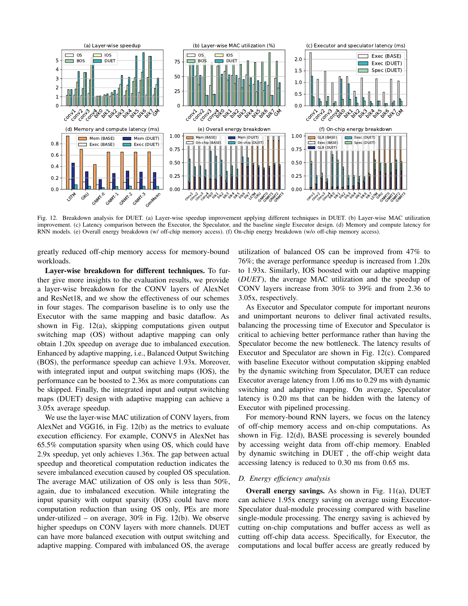

<span id="page-9-0"></span>Fig. 12. Breakdown analysis for DUET. (a) Layer-wise speedup improvement applying different techniques in DUET. (b) Layer-wise MAC utilization improvement. (c) Latency comparison between the Executor, the Speculator, and the baseline single Executor design. (d) Memory and compute latency for RNN models. (e) Overall energy breakdown (w/ off-chip memory access). (f) On-chip energy breakdown (w/o off-chip memory access).

greatly reduced off-chip memory access for memory-bound workloads.

Layer-wise breakdown for different techniques. To further give more insights to the evaluation results, we provide a layer-wise breakdown for the CONV layers of AlexNet and ResNet18, and we show the effectiveness of our schemes in four stages. The comparison baseline is to only use the Executor with the same mapping and basic dataflow. As shown in Fig. [12\(](#page-9-0)a), skipping computations given output switching map (OS) without adaptive mapping can only obtain 1.20x speedup on average due to imbalanced execution. Enhanced by adaptive mapping, i.e., Balanced Output Switching (BOS), the performance speedup can achieve 1.93x. Moreover, with integrated input and output switching maps (IOS), the performance can be boosted to 2.36x as more computations can be skipped. Finally, the integrated input and output switching maps (DUET) design with adaptive mapping can achieve a 3.05x average speedup.

We use the layer-wise MAC utilization of CONV layers, from AlexNet and VGG16, in Fig. [12\(](#page-9-0)b) as the metrics to evaluate execution efficiency. For example, CONV5 in AlexNet has 65.5% computation sparsity when using OS, which could have 2.9x speedup, yet only achieves 1.36x. The gap between actual speedup and theoretical computation reduction indicates the severe imbalanced execution caused by coupled OS speculation. The average MAC utilization of OS only is less than 50%, again, due to imbalanced execution. While integrating the input sparsity with output sparsity (IOS) could have more computation reduction than using OS only, PEs are more under-utilized – on average,  $30\%$  in Fig. [12\(](#page-9-0)b). We observe higher speedups on CONV layers with more channels. DUET can have more balanced execution with output switching and adaptive mapping. Compared with imbalanced OS, the average

utilization of balanced OS can be improved from 47% to 76%; the average performance speedup is increased from 1.20x to 1.93x. Similarly, IOS boosted with our adaptive mapping (*DUET*), the average MAC utilization and the speedup of CONV layers increase from 30% to 39% and from 2.36 to 3.05x, respectively.

As Executor and Speculator compute for important neurons and unimportant neurons to deliver final activated results, balancing the processing time of Executor and Speculator is critical to achieving better performance rather than having the Speculator become the new bottleneck. The latency results of Executor and Speculator are shown in Fig. [12\(](#page-9-0)c). Compared with baseline Executor without computation skipping enabled by the dynamic switching from Speculator, DUET can reduce Executor average latency from 1.06 ms to 0.29 ms with dynamic switching and adaptive mapping. On average, Speculator latency is 0.20 ms that can be hidden with the latency of Executor with pipelined processing.

For memory-bound RNN layers, we focus on the latency of off-chip memory access and on-chip computations. As shown in Fig. [12\(](#page-9-0)d), BASE processing is severely bounded by accessing weight data from off-chip memory. Enabled by dynamic switching in DUET , the off-chip weight data accessing latency is reduced to 0.30 ms from 0.65 ms.

# *D. Energy efficiency analysis*

Overall energy savings. As shown in Fig. [11\(](#page-8-2)a), DUET can achieve 1.95x energy saving on average using Executor-Speculator dual-module processing compared with baseline single-module processing. The energy saving is achieved by cutting on-chip computations and buffer access as well as cutting off-chip data access. Specifically, for Executor, the computations and local buffer access are greatly reduced by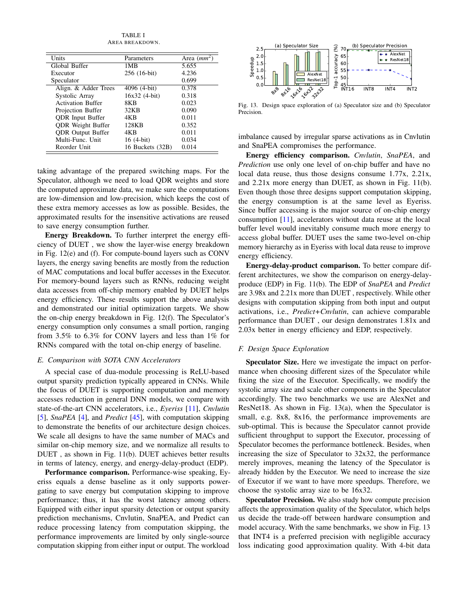TABLE I AREA BREAKDOWN.

<span id="page-10-1"></span>

| Units                    | Parameters       | Area $(mm^2)$ |
|--------------------------|------------------|---------------|
| Global Buffer            | 1MB              | 5.655         |
| Executor                 | 256 (16-bit)     | 4.236         |
| Speculator               |                  | 0.699         |
| Align. & Adder Trees     | 4096 (4-bit)     | 0.378         |
| Systolic Array           | $16x32$ (4-bit)  | 0.318         |
| <b>Activation Buffer</b> | 8K <sub>R</sub>  | 0.023         |
| Projection Buffer        | 32KB             | 0.090         |
| <b>QDR</b> Input Buffer  | 4KB              | 0.011         |
| <b>QDR</b> Weight Buffer | 128KB            | 0.352         |
| <b>QDR</b> Output Buffer | 4KB              | 0.011         |
| Multi-Func. Unit         | 16 (4-bit)       | 0.034         |
| Reorder Unit             | 16 Buckets (32B) | 0.014         |

taking advantage of the prepared switching maps. For the Speculator, although we need to load QDR weights and store the computed approximate data, we make sure the computations are low-dimension and low-precision, which keeps the cost of these extra memory accesses as low as possible. Besides, the approximated results for the insensitive activations are reused to save energy consumption further.

Energy Breakdown. To further interpret the energy efficiency of DUET , we show the layer-wise energy breakdown in Fig. [12\(](#page-9-0)e) and (f). For compute-bound layers such as CONV layers, the energy saving benefits are mostly from the reduction of MAC computations and local buffer accesses in the Executor. For memory-bound layers such as RNNs, reducing weight data accesses from off-chip memory enabled by DUET helps energy efficiency. These results support the above analysis and demonstrated our initial optimization targets. We show the on-chip energy breakdown in Fig. [12\(](#page-9-0)f). The Speculator's energy consumption only consumes a small portion, ranging from 3.5% to 6.3% for CONV layers and less than 1% for RNNs compared with the total on-chip energy of baseline.

#### *E. Comparison with SOTA CNN Accelerators*

A special case of dua-module processing is ReLU-based output sparsity prediction typically appeared in CNNs. While the focus of DUET is supporting computation and memory accesses reduction in general DNN models, we compare with state-of-the-art CNN accelerators, i.e., *Eyeriss* [\[11\]](#page-11-5), *Cnvlutin* [\[5\]](#page-11-9), *SnaPEA* [\[4\]](#page-11-7), and *Predict* [\[45\]](#page-12-12), with computation skipping to demonstrate the benefits of our architecture design choices. We scale all designs to have the same number of MACs and similar on-chip memory size, and we normalize all results to DUET , as shown in Fig. [11\(](#page-8-2)b). DUET achieves better results in terms of latency, energy, and energy-delay-product (EDP).

Performance comparison. Performance-wise speaking, Eyeriss equals a dense baseline as it only supports powergating to save energy but computation skipping to improve performance; thus, it has the worst latency among others. Equipped with either input sparsity detection or output sparsity prediction mechanisms, Cnvlutin, SnaPEA, and Predict can reduce processing latency from computation skipping, the performance improvements are limited by only single-source computation skipping from either input or output. The workload



<span id="page-10-2"></span>Fig. 13. Design space exploration of (a) Speculator size and (b) Speculator **Precision** 

imbalance caused by irregular sparse activations as in Cnvlutin and SnaPEA compromises the performance.

Energy efficiency comparison. *Cnvlutin*, *SnaPEA*, and *Prediction* use only one level of on-chip buffer and have no local data reuse, thus those designs consume 1.77x, 2.21x, and 2.21x more energy than DUET, as shown in Fig. [11\(](#page-8-2)b). Even though those three designs support computation skipping, the energy consumption is at the same level as Eyeriss. Since buffer accessing is the major source of on-chip energy consumption [\[11\]](#page-11-5), accelerators without data reuse at the local buffer level would inevitably consume much more energy to access global buffer. DUET uses the same two-level on-chip memory hierarchy as in Eyeriss with local data reuse to improve energy efficiency.

Energy-delay-product comparison. To better compare different architectures, we show the comparison on energy-delayproduce (EDP) in Fig. [11\(](#page-8-2)b). The EDP of *SnaPEA* and *Predict* are 3.98x and 2.21x more than DUET , respectively. While other designs with computation skipping from both input and output activations, i.e., *Predict+Cnvlutin*, can achieve comparable performance than DUET , our design demonstrates 1.81x and 2.03x better in energy efficiency and EDP, respectively.

#### <span id="page-10-0"></span>*F. Design Space Exploration*

Speculator Size. Here we investigate the impact on performance when choosing different sizes of the Speculator while fixing the size of the Executor. Specifically, we modify the systolic array size and scale other components in the Speculator accordingly. The two benchmarks we use are AlexNet and ResNet18. As shown in Fig. [13\(](#page-10-2)a), when the Speculator is small, e.g. 8x8, 8x16, the performance improvements are sub-optimal. This is because the Speculator cannot provide sufficient throughput to support the Executor, processing of Speculator becomes the performance bottleneck. Besides, when increasing the size of Speculator to 32x32, the performance merely improves, meaning the latency of the Speculator is already hidden by the Executor. We need to increase the size of Executor if we want to have more speedups. Therefore, we choose the systolic array size to be 16x32.

Speculator Precision. We also study how compute precision affects the approximation quality of the Speculator, which helps us decide the trade-off between hardware consumption and model accuracy. With the same benchmarks, we show in Fig. [13](#page-10-2) that INT4 is a preferred precision with negligible accuracy loss indicating good approximation quality. With 4-bit data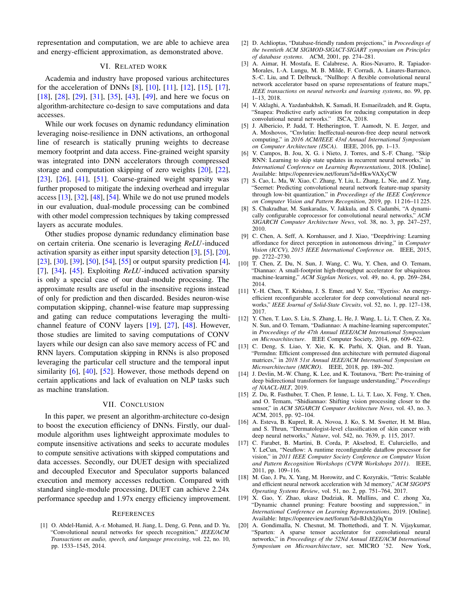representation and computation, we are able to achieve area and energy-efficient approximation, as demonstrated above.

## VI. RELATED WORK

Academia and industry have proposed various architectures for the acceleration of DNNs [\[8\]](#page-11-10), [\[10\]](#page-11-11), [\[11\]](#page-11-5), [\[12\]](#page-11-12), [\[15\]](#page-11-13), [\[17\]](#page-11-14), [\[18\]](#page-11-15), [\[28\]](#page-12-15), [\[29\]](#page-12-16), [\[31\]](#page-12-17), [\[35\]](#page-12-18), [\[43\]](#page-12-19), [\[49\]](#page-12-20), and here we focus on algorithm-architecture co-design to save computations and data accesses.

While our work focuses on dynamic redundancy elimination leveraging noise-resilience in DNN activations, an orthogonal line of research is statically pruning weights to decrease memory footprint and data access. Fine-grained weight sparsity was integrated into DNN accelerators through compressed storage and computation skipping of zero weights [\[20\]](#page-11-6), [\[22\]](#page-12-21),  $[23]$ ,  $[26]$ ,  $[41]$ ,  $[51]$ . Coarse-grained weight sparsity was further proposed to mitigate the indexing overhead and irregular access [\[13\]](#page-11-16), [\[32\]](#page-12-25), [\[48\]](#page-12-26), [\[54\]](#page-12-27). While we do not use pruned models in our evaluation, dual-module processing can be combined with other model compression techniques by taking compressed layers as accurate modules.

Other studies propose dynamic redundancy elimination base on certain criteria. One scenario is leveraging *ReLU*-induced activation sparsity as either input sparsity detection [\[3\]](#page-11-17), [\[5\]](#page-11-9), [\[20\]](#page-11-6), [\[23\]](#page-12-22), [\[30\]](#page-12-28), [\[39\]](#page-12-29), [\[50\]](#page-12-30), [\[54\]](#page-12-27), [\[55\]](#page-12-31) or output sparsity prediction [\[4\]](#page-11-7), [\[7\]](#page-11-18), [\[34\]](#page-12-32), [\[45\]](#page-12-12). Exploiting *ReLU*-induced activation sparsity is only a special case of our dual-module processing. The approximate results are useful in the insensitive regions instead of only for prediction and then discarded. Besides neuron-wise computation skipping, channel-wise feature map suppressing and gating can reduce computations leveraging the multichannel feature of CONV layers [\[19\]](#page-11-8), [\[27\]](#page-12-14), [\[48\]](#page-12-26). However, those studies are limited to saving computations of CONV layers while our design can also save memory access of FC and RNN layers. Computation skipping in RNNs is also proposed leveraging the particular cell structure and the temporal input similarity [\[6\]](#page-11-19), [\[40\]](#page-12-33), [\[52\]](#page-12-34). However, those methods depend on certain applications and lack of evaluation on NLP tasks such as machine translation.

## VII. CONCLUSION

In this paper, we present an algorithm-architecture co-design to boost the execution efficiency of DNNs. Firstly, our dualmodule algorithm uses lightweight approximate modules to compute insensitive activations and seeks to accurate modules to compute sensitive activations with skipped computations and data accesses. Secondly, our DUET design with specialized and decoupled Executor and Speculator supports balanced execution and memory accesses reduction. Compared with standard single-module processing, DUET can achieve 2.24x performance speedup and 1.97x energy efficiency improvement.

#### **REFERENCES**

<span id="page-11-0"></span>[1] O. Abdel-Hamid, A.-r. Mohamed, H. Jiang, L. Deng, G. Penn, and D. Yu, "Convolutional neural networks for speech recognition," *IEEE/ACM Transactions on audio, speech, and language processing*, vol. 22, no. 10, pp. 1533–1545, 2014.

- <span id="page-11-4"></span>[2] D. Achlioptas, "Database-friendly random projections," in *Proceedings of the twentieth ACM SIGMOD-SIGACT-SIGART symposium on Principles of database systems*. ACM, 2001, pp. 274–281.
- <span id="page-11-17"></span>[3] A. Aimar, H. Mostafa, E. Calabrese, A. Rios-Navarro, R. Tapiador-Morales, I.-A. Lungu, M. B. Milde, F. Corradi, A. Linares-Barranco, S.-C. Liu, and T. Delbruck, "Nullhop: A flexible convolutional neural network accelerator based on sparse representations of feature maps," *IEEE transactions on neural networks and learning systems*, no. 99, pp. 1–13, 2018.
- <span id="page-11-7"></span>[4] V. Aklaghi, A. Yazdanbakhsh, K. Samadi, H. Esmaeilzadeh, and R. Gupta, "Snapea: Predictive early activation for reducing computation in deep convolutional neural networks." ISCA, 2018.
- <span id="page-11-9"></span>[5] J. Albericio, P. Judd, T. Hetherington, T. Aamodt, N. E. Jerger, and A. Moshovos, "Cnvlutin: Ineffectual-neuron-free deep neural network computing," in *2016 ACM/IEEE 43rd Annual International Symposium on Computer Architecture (ISCA)*. IEEE, 2016, pp. 1–13.
- <span id="page-11-19"></span>[6] V. Campos, B. Jou, X. G. i Nieto, J. Torres, and S.-F. Chang, "Skip RNN: Learning to skip state updates in recurrent neural networks," in *International Conference on Learning Representations*, 2018. [Online]. Available: <https://openreview.net/forum?id=HkwVAXyCW>
- <span id="page-11-18"></span>[7] S. Cao, L. Ma, W. Xiao, C. Zhang, Y. Liu, L. Zhang, L. Nie, and Z. Yang, "Seernet: Predicting convolutional neural network feature-map sparsity through low-bit quantization," in *Proceedings of the IEEE Conference on Computer Vision and Pattern Recognition*, 2019, pp. 11 216–11 225.
- <span id="page-11-10"></span>[8] S. Chakradhar, M. Sankaradas, V. Jakkula, and S. Cadambi, "A dynamically configurable coprocessor for convolutional neural networks," *ACM SIGARCH Computer Architecture News*, vol. 38, no. 3, pp. 247–257, 2010.
- <span id="page-11-2"></span>[9] C. Chen, A. Seff, A. Kornhauser, and J. Xiao, "Deepdriving: Learning affordance for direct perception in autonomous driving," in *Computer Vision (ICCV), 2015 IEEE International Conference on*. IEEE, 2015, pp. 2722–2730.
- <span id="page-11-11"></span>[10] T. Chen, Z. Du, N. Sun, J. Wang, C. Wu, Y. Chen, and O. Temam, "Diannao: A small-footprint high-throughput accelerator for ubiquitous machine-learning," *ACM Sigplan Notices*, vol. 49, no. 4, pp. 269–284, 2014.
- <span id="page-11-5"></span>[11] Y.-H. Chen, T. Krishna, J. S. Emer, and V. Sze, "Eyeriss: An energyefficient reconfigurable accelerator for deep convolutional neural networks," *IEEE Journal of Solid-State Circuits*, vol. 52, no. 1, pp. 127–138, 2017.
- <span id="page-11-12"></span>[12] Y. Chen, T. Luo, S. Liu, S. Zhang, L. He, J. Wang, L. Li, T. Chen, Z. Xu, N. Sun, and O. Temam, "Dadiannao: A machine-learning supercomputer," in *Proceedings of the 47th Annual IEEE/ACM International Symposium on Microarchitecture*. IEEE Computer Society, 2014, pp. 609–622.
- <span id="page-11-16"></span>[13] C. Deng, S. Liao, Y. Xie, K. K. Parhi, X. Qian, and B. Yuan, "Permdnn: Efficient compressed dnn architecture with permuted diagonal matrices," in *2018 51st Annual IEEE/ACM International Symposium on Microarchitecture (MICRO)*. IEEE, 2018, pp. 189–202.
- <span id="page-11-1"></span>[14] J. Devlin, M.-W. Chang, K. Lee, and K. Toutanova, "Bert: Pre-training of deep bidirectional transformers for language understanding," *Proceedings of NAACL-HLT*, 2019.
- <span id="page-11-13"></span>[15] Z. Du, R. Fasthuber, T. Chen, P. Ienne, L. Li, T. Luo, X. Feng, Y. Chen, and O. Temam, "Shidiannao: Shifting vision processing closer to the sensor," in *ACM SIGARCH Computer Architecture News*, vol. 43, no. 3. ACM, 2015, pp. 92–104.
- <span id="page-11-3"></span>[16] A. Esteva, B. Kuprel, R. A. Novoa, J. Ko, S. M. Swetter, H. M. Blau, and S. Thrun, "Dermatologist-level classification of skin cancer with deep neural networks," *Nature*, vol. 542, no. 7639, p. 115, 2017.
- <span id="page-11-14"></span>[17] C. Farabet, B. Martini, B. Corda, P. Akselrod, E. Culurciello, and Y. LeCun, "Neuflow: A runtime reconfigurable dataflow processor for vision," in *2011 IEEE Computer Society Conference on Computer Vision and Pattern Recognition Workshops (CVPR Workshops 2011)*. IEEE, 2011, pp. 109–116.
- <span id="page-11-15"></span>[18] M. Gao, J. Pu, X. Yang, M. Horowitz, and C. Kozyrakis, "Tetris: Scalable and efficient neural network acceleration with 3d memory," *ACM SIGOPS Operating Systems Review*, vol. 51, no. 2, pp. 751–764, 2017.
- <span id="page-11-8"></span>[19] X. Gao, Y. Zhao, ukasz Dudziak, R. Mullins, and C. zhong Xu, "Dynamic channel pruning: Feature boosting and suppression," in *International Conference on Learning Representations*, 2019. [Online]. Available: <https://openreview.net/forum?id=BJxh2j0qYm>
- <span id="page-11-6"></span>[20] A. Gondimalla, N. Chesnut, M. Thottethodi, and T. N. Vijaykumar, "Sparten: A sparse tensor accelerator for convolutional neural networks," in *Proceedings of the 52Nd Annual IEEE/ACM International Symposium on Microarchitecture*, ser. MICRO '52. New York,